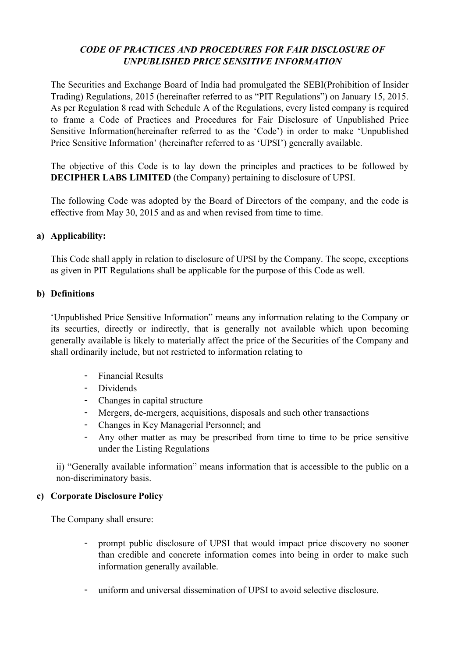# CODE OF PRACTICES AND PROCEDURES FOR FAIR DISCLOSURE OF UNPUBLISHED PRICE SENSITIVE INFORMATION

The Securities and Exchange Board of India had promulgated the SEBI(Prohibition of Insider Trading) Regulations, 2015 (hereinafter referred to as "PIT Regulations") on January 15, 2015. As per Regulation 8 read with Schedule A of the Regulations, every listed company is required to frame a Code of Practices and Procedures for Fair Disclosure of Unpublished Price Sensitive Information(hereinafter referred to as the 'Code') in order to make 'Unpublished Price Sensitive Information' (hereinafter referred to as 'UPSI') generally available.

The objective of this Code is to lay down the principles and practices to be followed by DECIPHER LABS LIMITED (the Company) pertaining to disclosure of UPSI.

The following Code was adopted by the Board of Directors of the company, and the code is effective from May 30, 2015 and as and when revised from time to time.

## a) Applicability:

This Code shall apply in relation to disclosure of UPSI by the Company. The scope, exceptions as given in PIT Regulations shall be applicable for the purpose of this Code as well.

### b) Definitions

'Unpublished Price Sensitive Information" means any information relating to the Company or its securties, directly or indirectly, that is generally not available which upon becoming generally available is likely to materially affect the price of the Securities of the Company and shall ordinarily include, but not restricted to information relating to

- Financial Results
- Dividends
- Changes in capital structure
- Mergers, de-mergers, acquisitions, disposals and such other transactions
- Changes in Key Managerial Personnel; and
- Any other matter as may be prescribed from time to time to be price sensitive under the Listing Regulations

ii) "Generally available information" means information that is accessible to the public on a non-discriminatory basis.

## c) Corporate Disclosure Policy

The Company shall ensure:

- prompt public disclosure of UPSI that would impact price discovery no sooner than credible and concrete information comes into being in order to make such information generally available.
- uniform and universal dissemination of UPSI to avoid selective disclosure.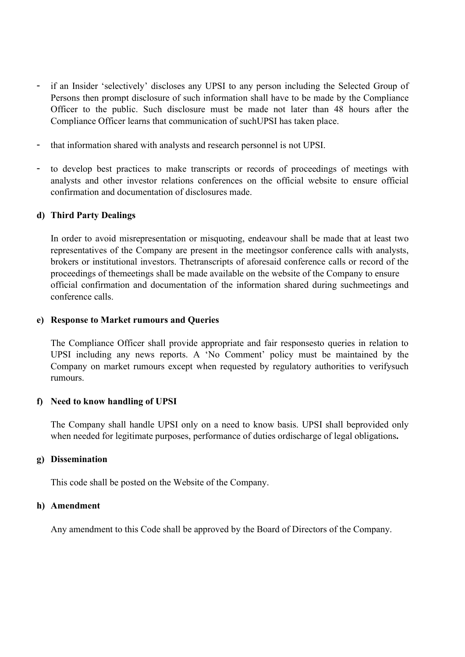- if an Insider 'selectively' discloses any UPSI to any person including the Selected Group of Persons then prompt disclosure of such information shall have to be made by the Compliance Officer to the public. Such disclosure must be made not later than 48 hours after the Compliance Officer learns that communication of suchUPSI has taken place.
- that information shared with analysts and research personnel is not UPSI.
- to develop best practices to make transcripts or records of proceedings of meetings with analysts and other investor relations conferences on the official website to ensure official confirmation and documentation of disclosures made.

#### d) Third Party Dealings

In order to avoid misrepresentation or misquoting, endeavour shall be made that at least two representatives of the Company are present in the meetingsor conference calls with analysts, brokers or institutional investors. Thetranscripts of aforesaid conference calls or record of the proceedings of themeetings shall be made available on the website of the Company to ensure official confirmation and documentation of the information shared during suchmeetings and conference calls.

#### e) Response to Market rumours and Queries

The Compliance Officer shall provide appropriate and fair responsesto queries in relation to UPSI including any news reports. A 'No Comment' policy must be maintained by the Company on market rumours except when requested by regulatory authorities to verifysuch rumours.

#### f) Need to know handling of UPSI

The Company shall handle UPSI only on a need to know basis. UPSI shall beprovided only when needed for legitimate purposes, performance of duties ordischarge of legal obligations.

#### g) Dissemination

This code shall be posted on the Website of the Company.

#### h) Amendment

Any amendment to this Code shall be approved by the Board of Directors of the Company.